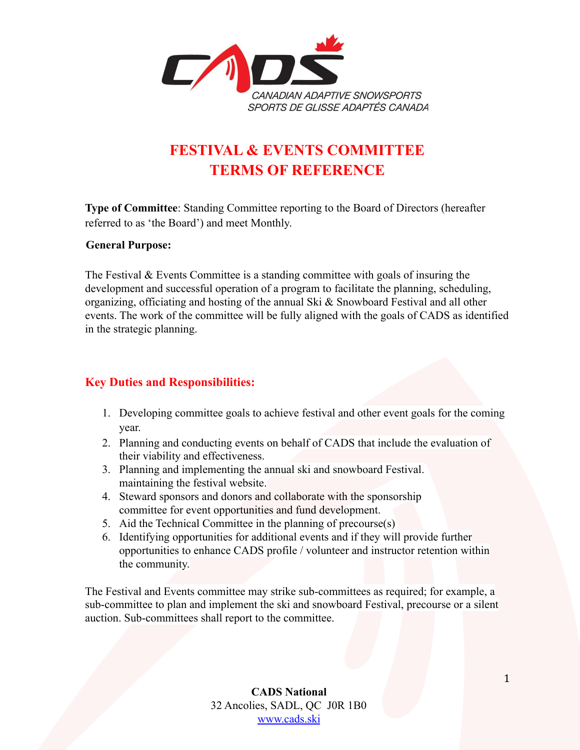

# **FESTIVAL & EVENTS COMMITTEE TERMS OF REFERENCE**

**Type of Committee**: Standing Committee reporting to the Board of Directors (hereafter referred to as 'the Board') and meet Monthly.

#### **General Purpose:**

The Festival & Events Committee is a standing committee with goals of insuring the development and successful operation of a program to facilitate the planning, scheduling, organizing, officiating and hosting of the annual Ski & Snowboard Festival and all other events. The work of the committee will be fully aligned with the goals of CADS as identified in the strategic planning.

#### **Key Duties and Responsibilities:**

- 1. Developing committee goals to achieve festival and other event goals for the coming year.
- 2. Planning and conducting events on behalf of CADS that include the evaluation of their viability and effectiveness.
- 3. Planning and implementing the annual ski and snowboard Festival. maintaining the festival website.
- 4. Steward sponsors and donors and collaborate with the sponsorship committee for event opportunities and fund development.
- 5. Aid the Technical Committee in the planning of precourse(s)
- 6. Identifying opportunities for additional events and if they will provide further opportunities to enhance CADS profile / volunteer and instructor retention within the community.

The Festival and Events committee may strike sub-committees as required; for example, a sub-committee to plan and implement the ski and snowboard Festival, precourse or a silent auction. Sub-committees shall report to the committee.

> **CADS National** 32 Ancolies, SADL, QC J0R 1B0 [www.cads.ski](http://www.cads.ski)